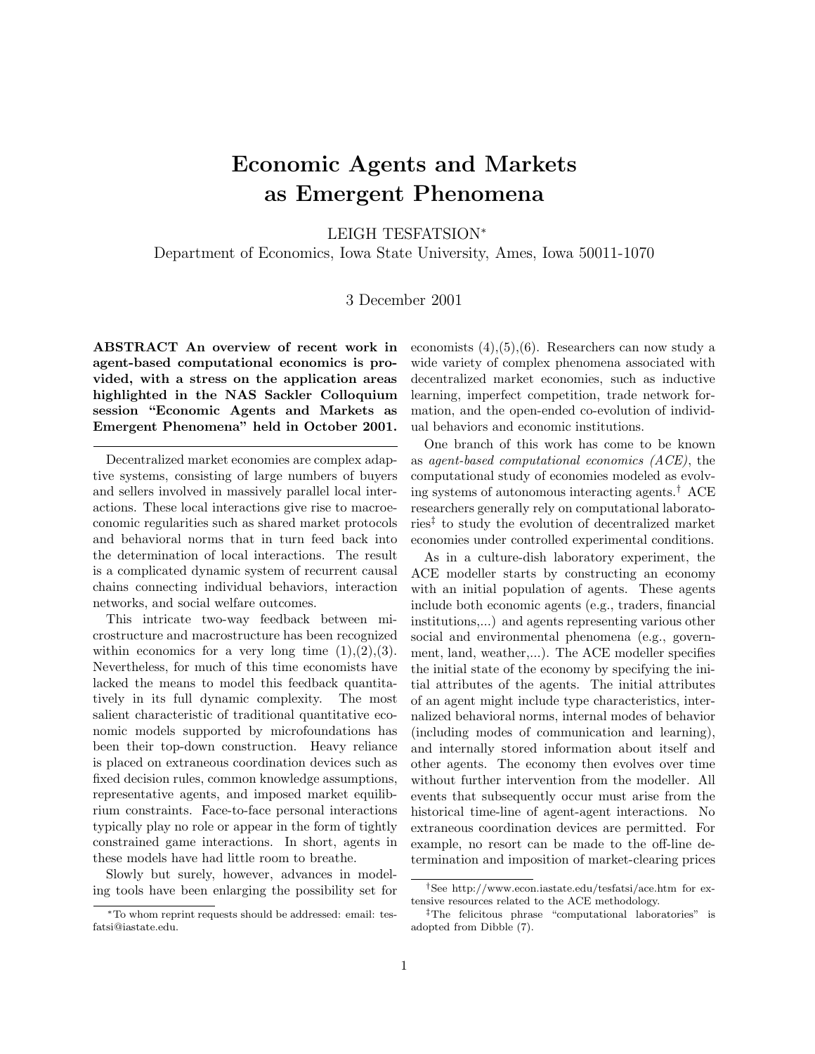## Economic Agents and Markets as Emergent Phenomena

LEIGH TESFATSION<sup>∗</sup>

Department of Economics, Iowa State University, Ames, Iowa 50011-1070

## 3 December 2001

ABSTRACT An overview of recent work in agent-based computational economics is provided, with a stress on the application areas highlighted in the NAS Sackler Colloquium session "Economic Agents and Markets as Emergent Phenomena" held in October 2001.

Decentralized market economies are complex adaptive systems, consisting of large numbers of buyers and sellers involved in massively parallel local interactions. These local interactions give rise to macroeconomic regularities such as shared market protocols and behavioral norms that in turn feed back into the determination of local interactions. The result is a complicated dynamic system of recurrent causal chains connecting individual behaviors, interaction networks, and social welfare outcomes.

This intricate two-way feedback between microstructure and macrostructure has been recognized within economics for a very long time  $(1),(2),(3)$ . Nevertheless, for much of this time economists have lacked the means to model this feedback quantitatively in its full dynamic complexity. The most salient characteristic of traditional quantitative economic models supported by microfoundations has been their top-down construction. Heavy reliance is placed on extraneous coordination devices such as fixed decision rules, common knowledge assumptions, representative agents, and imposed market equilibrium constraints. Face-to-face personal interactions typically play no role or appear in the form of tightly constrained game interactions. In short, agents in these models have had little room to breathe.

Slowly but surely, however, advances in modeling tools have been enlarging the possibility set for economists  $(4)$ , $(5)$ , $(6)$ . Researchers can now study a wide variety of complex phenomena associated with decentralized market economies, such as inductive learning, imperfect competition, trade network formation, and the open-ended co-evolution of individual behaviors and economic institutions.

One branch of this work has come to be known as agent-based computational economics (ACE), the computational study of economies modeled as evolving systems of autonomous interacting agents.† ACE researchers generally rely on computational laboratories‡ to study the evolution of decentralized market economies under controlled experimental conditions.

As in a culture-dish laboratory experiment, the ACE modeller starts by constructing an economy with an initial population of agents. These agents include both economic agents (e.g., traders, financial institutions,...) and agents representing various other social and environmental phenomena (e.g., government, land, weather,...). The ACE modeller specifies the initial state of the economy by specifying the initial attributes of the agents. The initial attributes of an agent might include type characteristics, internalized behavioral norms, internal modes of behavior (including modes of communication and learning), and internally stored information about itself and other agents. The economy then evolves over time without further intervention from the modeller. All events that subsequently occur must arise from the historical time-line of agent-agent interactions. No extraneous coordination devices are permitted. For example, no resort can be made to the off-line determination and imposition of market-clearing prices

<sup>∗</sup>To whom reprint requests should be addressed: email: tesfatsi@iastate.edu.

<sup>†</sup>See http://www.econ.iastate.edu/tesfatsi/ace.htm for extensive resources related to the ACE methodology.

<sup>‡</sup>The felicitous phrase "computational laboratories" is adopted from Dibble (7).